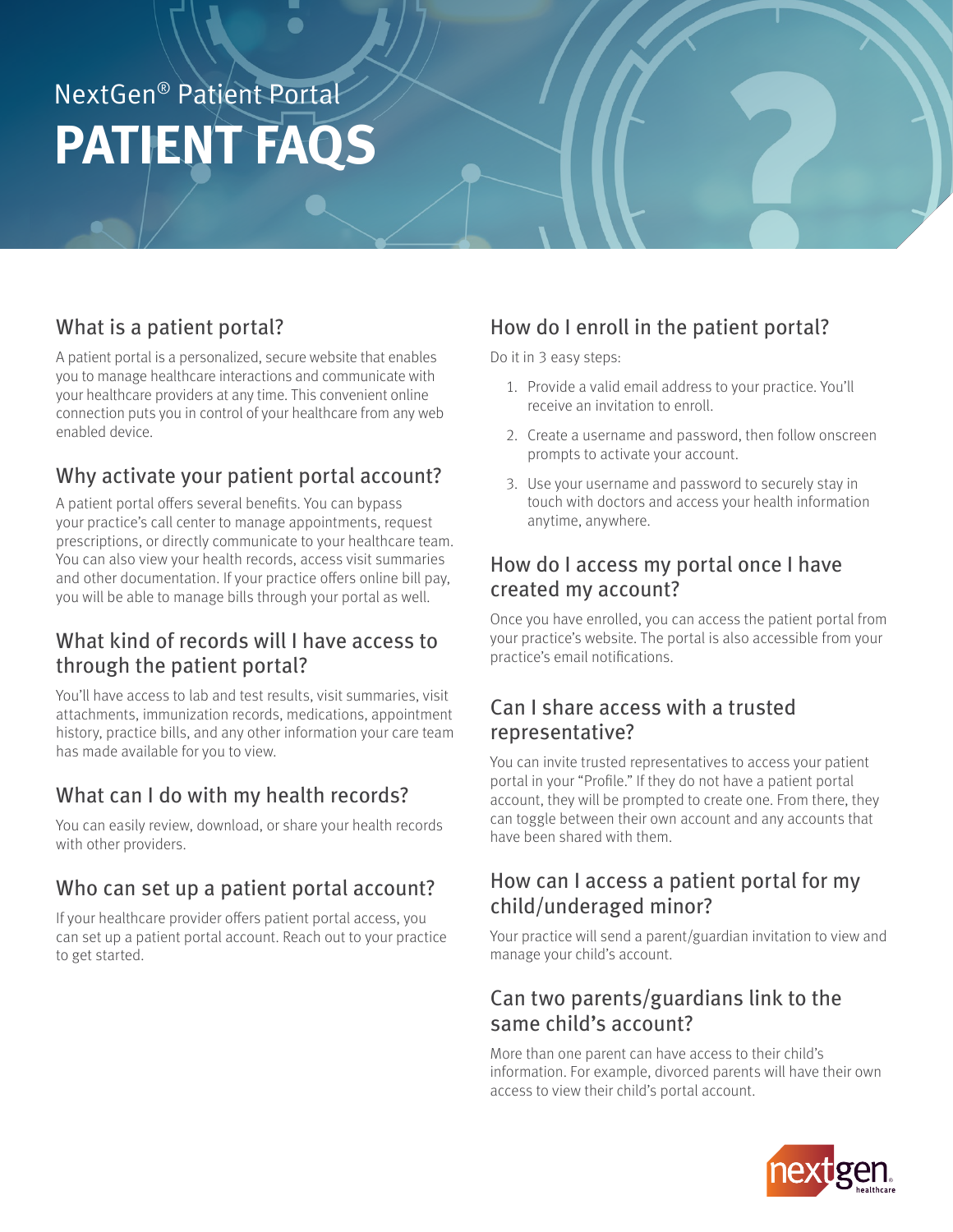# NextGen® Patient Portal **PATIENT FAQS**

# What is a patient portal?

A patient portal is a personalized, secure website that enables you to manage healthcare interactions and communicate with your healthcare providers at any time. This convenient online connection puts you in control of your healthcare from any web enabled device.

# Why activate your patient portal account?

A patient portal offers several benefits. You can bypass your practice's call center to manage appointments, request prescriptions, or directly communicate to your healthcare team. You can also view your health records, access visit summaries and other documentation. If your practice offers online bill pay, you will be able to manage bills through your portal as well.

#### What kind of records will I have access to through the patient portal?

You'll have access to lab and test results, visit summaries, visit attachments, immunization records, medications, appointment history, practice bills, and any other information your care team has made available for you to view.

#### What can I do with my health records?

You can easily review, download, or share your health records with other providers.

#### Who can set up a patient portal account?

If your healthcare provider offers patient portal access, you can set up a patient portal account. Reach out to your practice to get started.

# How do I enroll in the patient portal?

Do it in 3 easy steps:

- 1. Provide a valid email address to your practice. You'll receive an invitation to enroll.
- 2. Create a username and password, then follow onscreen prompts to activate your account.
- 3. Use your username and password to securely stay in touch with doctors and access your health information anytime, anywhere.

#### How do I access my portal once I have created my account?

Once you have enrolled, you can access the patient portal from your practice's website. The portal is also accessible from your practice's email notifications.

#### Can I share access with a trusted representative?

You can invite trusted representatives to access your patient portal in your "Profile." If they do not have a patient portal account, they will be prompted to create one. From there, they can toggle between their own account and any accounts that have been shared with them.

#### How can I access a patient portal for my child/underaged minor?

Your practice will send a parent/guardian invitation to view and manage your child's account.

#### Can two parents/guardians link to the same child's account?

More than one parent can have access to their child's information. For example, divorced parents will have their own access to view their child's portal account.